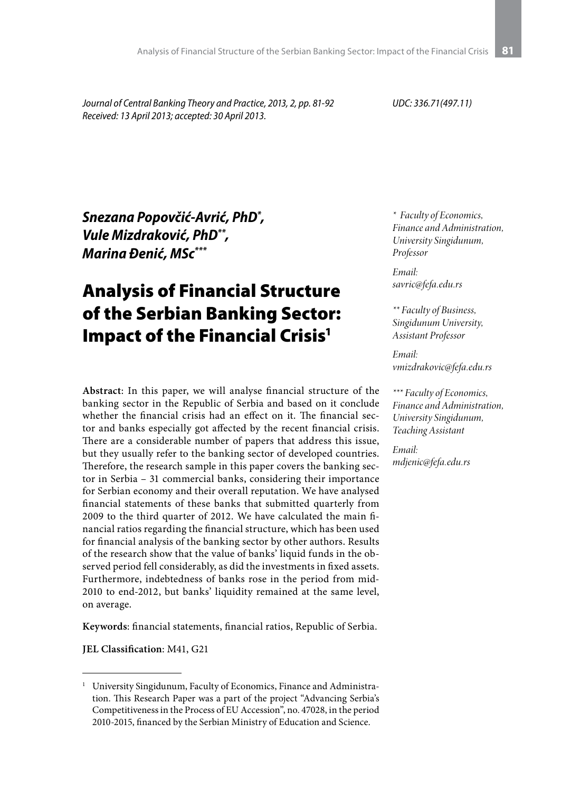*Journal of Central Banking Theory and Practice, 2013, 2, pp. 81-92 Received: 13 April 2013; accepted: 30 April 2013.*

*UDC: 336.71(497.11)*

*Snezana Popovčić-Avrić, PhD\* , Vule Mizdraković, PhD\*\*, Marina Đenić, MSc\*\*\**

# Analysis of Financial Structure of the Serbian Banking Sector: Impact of the Financial Crisis<sup>1</sup>

**Abstract**: In this paper, we will analyse financial structure of the banking sector in the Republic of Serbia and based on it conclude whether the financial crisis had an effect on it. The financial sector and banks especially got affected by the recent financial crisis. There are a considerable number of papers that address this issue, but they usually refer to the banking sector of developed countries. Therefore, the research sample in this paper covers the banking sector in Serbia – 31 commercial banks, considering their importance for Serbian economy and their overall reputation. We have analysed financial statements of these banks that submitted quarterly from 2009 to the third quarter of 2012. We have calculated the main financial ratios regarding the financial structure, which has been used for financial analysis of the banking sector by other authors. Results of the research show that the value of banks' liquid funds in the observed period fell considerably, as did the investments in fixed assets. Furthermore, indebtedness of banks rose in the period from mid-2010 to end-2012, but banks' liquidity remained at the same level, on average.

**Keywords**: financial statements, financial ratios, Republic of Serbia.

**JEL Classification**: M41, G21

*\* Faculty of Economics, Finance and Administration, University Singidunum, Professor*

*Email: savric@fefa.edu.rs*

*\*\* Faculty of Business, Singidunum University, Assistant Professor* 

*Email: vmizdrakovic@fefa.edu.rs*

*\*\*\* Faculty of Economics, Finance and Administration, University Singidunum, Teaching Assistant*

*Email: mdjenic@fefa.edu.rs*

<sup>&</sup>lt;sup>1</sup> University Singidunum, Faculty of Economics, Finance and Administration. This Research Paper was a part of the project "Advancing Serbia's Competitiveness in the Process of EU Accession", no. 47028, in the period 2010-2015, financed by the Serbian Ministry of Education and Science.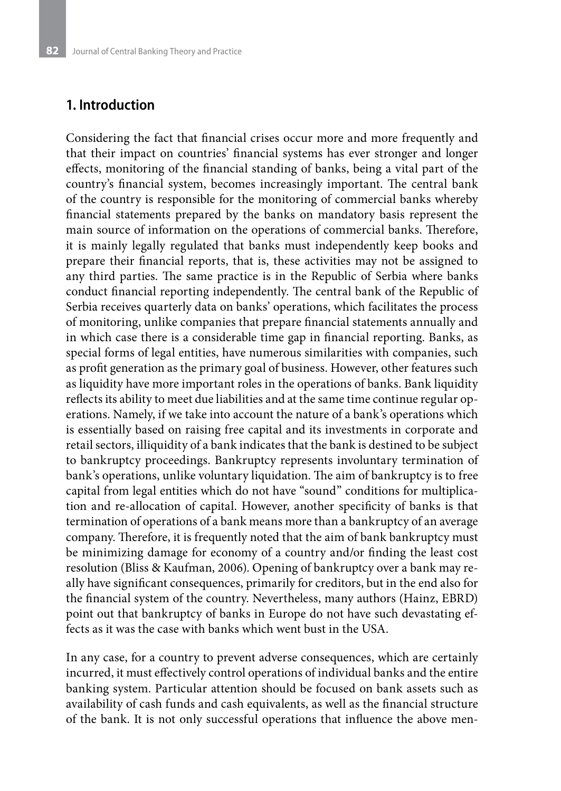### **1. Introduction**

Considering the fact that financial crises occur more and more frequently and that their impact on countries' financial systems has ever stronger and longer effects, monitoring of the financial standing of banks, being a vital part of the country's financial system, becomes increasingly important. The central bank of the country is responsible for the monitoring of commercial banks whereby financial statements prepared by the banks on mandatory basis represent the main source of information on the operations of commercial banks. Therefore, it is mainly legally regulated that banks must independently keep books and prepare their financial reports, that is, these activities may not be assigned to any third parties. The same practice is in the Republic of Serbia where banks conduct financial reporting independently. The central bank of the Republic of Serbia receives quarterly data on banks' operations, which facilitates the process of monitoring, unlike companies that prepare financial statements annually and in which case there is a considerable time gap in financial reporting. Banks, as special forms of legal entities, have numerous similarities with companies, such as profit generation as the primary goal of business. However, other features such as liquidity have more important roles in the operations of banks. Bank liquidity reflects its ability to meet due liabilities and at the same time continue regular operations. Namely, if we take into account the nature of a bank's operations which is essentially based on raising free capital and its investments in corporate and retail sectors, illiquidity of a bank indicates that the bank is destined to be subject to bankruptcy proceedings. Bankruptcy represents involuntary termination of bank's operations, unlike voluntary liquidation. The aim of bankruptcy is to free capital from legal entities which do not have "sound" conditions for multiplication and re-allocation of capital. However, another specificity of banks is that termination of operations of a bank means more than a bankruptcy of an average company. Therefore, it is frequently noted that the aim of bank bankruptcy must be minimizing damage for economy of a country and/or finding the least cost resolution (Bliss & Kaufman, 2006). Opening of bankruptcy over a bank may really have significant consequences, primarily for creditors, but in the end also for the financial system of the country. Nevertheless, many authors (Hainz, EBRD) point out that bankruptcy of banks in Europe do not have such devastating effects as it was the case with banks which went bust in the USA.

In any case, for a country to prevent adverse consequences, which are certainly incurred, it must effectively control operations of individual banks and the entire banking system. Particular attention should be focused on bank assets such as availability of cash funds and cash equivalents, as well as the financial structure of the bank. It is not only successful operations that influence the above men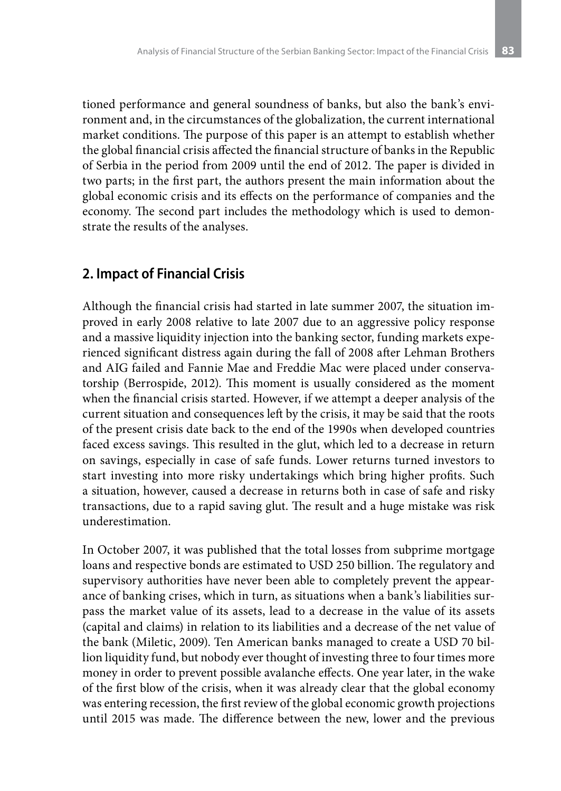tioned performance and general soundness of banks, but also the bank's environment and, in the circumstances of the globalization, the current international market conditions. The purpose of this paper is an attempt to establish whether the global financial crisis affected the financial structure of banks in the Republic of Serbia in the period from 2009 until the end of 2012. The paper is divided in two parts; in the first part, the authors present the main information about the global economic crisis and its effects on the performance of companies and the economy. The second part includes the methodology which is used to demonstrate the results of the analyses.

### **2. Impact of Financial Crisis**

Although the financial crisis had started in late summer 2007, the situation improved in early 2008 relative to late 2007 due to an aggressive policy response and a massive liquidity injection into the banking sector, funding markets experienced significant distress again during the fall of 2008 after Lehman Brothers and AIG failed and Fannie Mae and Freddie Mac were placed under conservatorship (Berrospide, 2012). This moment is usually considered as the moment when the financial crisis started. However, if we attempt a deeper analysis of the current situation and consequences left by the crisis, it may be said that the roots of the present crisis date back to the end of the 1990s when developed countries faced excess savings. This resulted in the glut, which led to a decrease in return on savings, especially in case of safe funds. Lower returns turned investors to start investing into more risky undertakings which bring higher profits. Such a situation, however, caused a decrease in returns both in case of safe and risky transactions, due to a rapid saving glut. The result and a huge mistake was risk underestimation.

In October 2007, it was published that the total losses from subprime mortgage loans and respective bonds are estimated to USD 250 billion. The regulatory and supervisory authorities have never been able to completely prevent the appearance of banking crises, which in turn, as situations when a bank's liabilities surpass the market value of its assets, lead to a decrease in the value of its assets (capital and claims) in relation to its liabilities and a decrease of the net value of the bank (Miletic, 2009). Ten American banks managed to create a USD 70 billion liquidity fund, but nobody ever thought of investing three to four times more money in order to prevent possible avalanche effects. One year later, in the wake of the first blow of the crisis, when it was already clear that the global economy was entering recession, the first review of the global economic growth projections until 2015 was made. The difference between the new, lower and the previous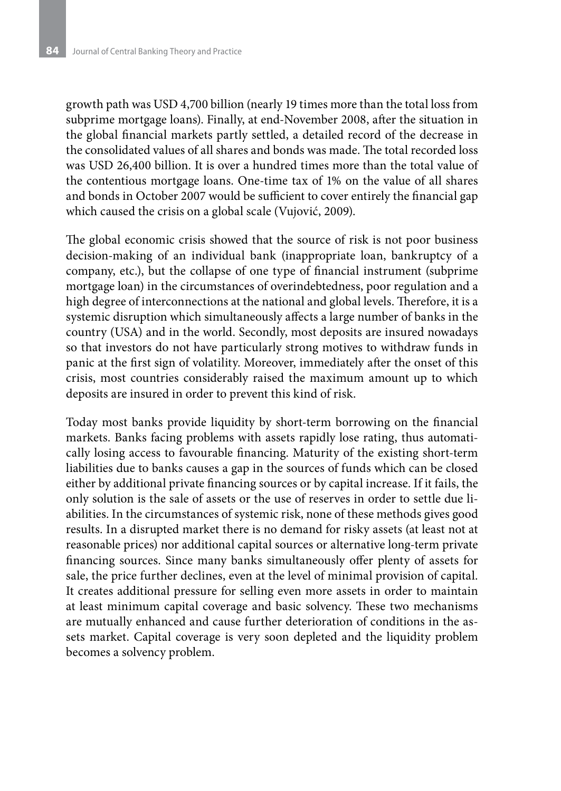growth path was USD 4,700 billion (nearly 19 times more than the total loss from subprime mortgage loans). Finally, at end-November 2008, after the situation in the global financial markets partly settled, a detailed record of the decrease in the consolidated values of all shares and bonds was made. The total recorded loss was USD 26,400 billion. It is over a hundred times more than the total value of the contentious mortgage loans. One-time tax of 1% on the value of all shares and bonds in October 2007 would be sufficient to cover entirely the financial gap which caused the crisis on a global scale (Vujović, 2009).

The global economic crisis showed that the source of risk is not poor business decision-making of an individual bank (inappropriate loan, bankruptcy of a company, etc.), but the collapse of one type of financial instrument (subprime mortgage loan) in the circumstances of overindebtedness, poor regulation and a high degree of interconnections at the national and global levels. Therefore, it is a systemic disruption which simultaneously affects a large number of banks in the country (USA) and in the world. Secondly, most deposits are insured nowadays so that investors do not have particularly strong motives to withdraw funds in panic at the first sign of volatility. Moreover, immediately after the onset of this crisis, most countries considerably raised the maximum amount up to which deposits are insured in order to prevent this kind of risk.

Today most banks provide liquidity by short-term borrowing on the financial markets. Banks facing problems with assets rapidly lose rating, thus automatically losing access to favourable financing. Maturity of the existing short-term liabilities due to banks causes a gap in the sources of funds which can be closed either by additional private financing sources or by capital increase. If it fails, the only solution is the sale of assets or the use of reserves in order to settle due liabilities. In the circumstances of systemic risk, none of these methods gives good results. In a disrupted market there is no demand for risky assets (at least not at reasonable prices) nor additional capital sources or alternative long-term private financing sources. Since many banks simultaneously offer plenty of assets for sale, the price further declines, even at the level of minimal provision of capital. It creates additional pressure for selling even more assets in order to maintain at least minimum capital coverage and basic solvency. These two mechanisms are mutually enhanced and cause further deterioration of conditions in the assets market. Capital coverage is very soon depleted and the liquidity problem becomes a solvency problem.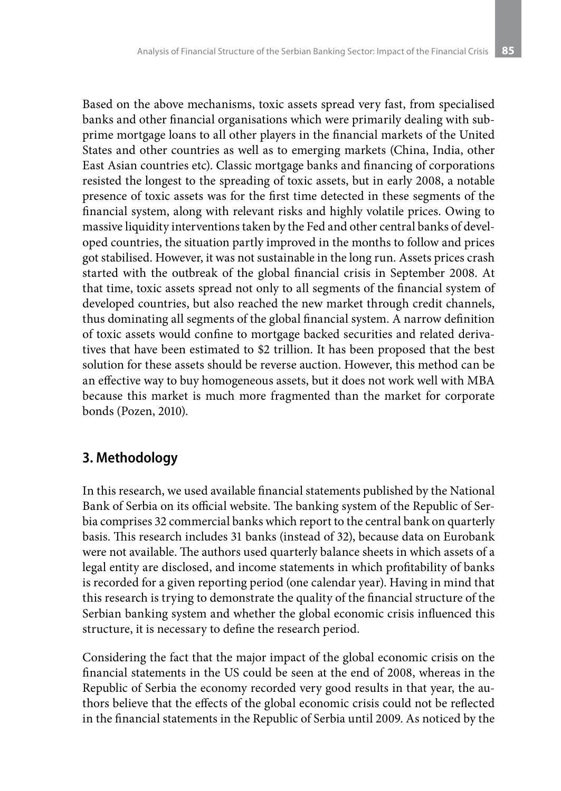Based on the above mechanisms, toxic assets spread very fast, from specialised banks and other financial organisations which were primarily dealing with subprime mortgage loans to all other players in the financial markets of the United States and other countries as well as to emerging markets (China, India, other East Asian countries etc). Classic mortgage banks and financing of corporations resisted the longest to the spreading of toxic assets, but in early 2008, a notable presence of toxic assets was for the first time detected in these segments of the financial system, along with relevant risks and highly volatile prices. Owing to massive liquidity interventions taken by the Fed and other central banks of developed countries, the situation partly improved in the months to follow and prices got stabilised. However, it was not sustainable in the long run. Assets prices crash started with the outbreak of the global financial crisis in September 2008. At that time, toxic assets spread not only to all segments of the financial system of developed countries, but also reached the new market through credit channels, thus dominating all segments of the global financial system. A narrow definition of toxic assets would confine to mortgage backed securities and related derivatives that have been estimated to \$2 trillion. It has been proposed that the best solution for these assets should be reverse auction. However, this method can be an effective way to buy homogeneous assets, but it does not work well with MBA because this market is much more fragmented than the market for corporate bonds (Pozen, 2010).

# **3. Methodology**

In this research, we used available financial statements published by the National Bank of Serbia on its official website. The banking system of the Republic of Serbia comprises 32 commercial banks which report to the central bank on quarterly basis. This research includes 31 banks (instead of 32), because data on Eurobank were not available. The authors used quarterly balance sheets in which assets of a legal entity are disclosed, and income statements in which profitability of banks is recorded for a given reporting period (one calendar year). Having in mind that this research is trying to demonstrate the quality of the financial structure of the Serbian banking system and whether the global economic crisis influenced this structure, it is necessary to define the research period.

Considering the fact that the major impact of the global economic crisis on the financial statements in the US could be seen at the end of 2008, whereas in the Republic of Serbia the economy recorded very good results in that year, the authors believe that the effects of the global economic crisis could not be reflected in the financial statements in the Republic of Serbia until 2009. As noticed by the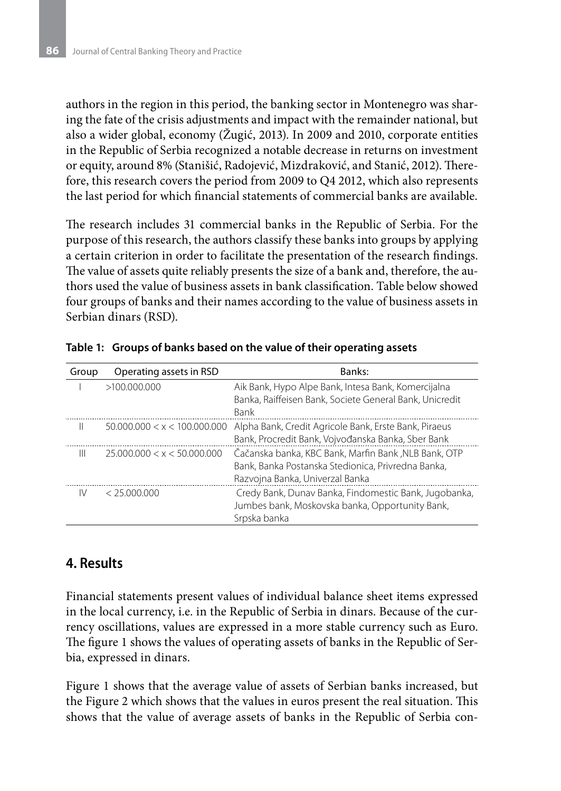authors in the region in this period, the banking sector in Montenegro was sharing the fate of the crisis adjustments and impact with the remainder national, but also a wider global, economy (Žugić, 2013). In 2009 and 2010, corporate entities in the Republic of Serbia recognized a notable decrease in returns on investment or equity, around 8% (Stanišić, Radojević, Mizdraković, and Stanić, 2012). Therefore, this research covers the period from 2009 to Q4 2012, which also represents the last period for which financial statements of commercial banks are available.

The research includes 31 commercial banks in the Republic of Serbia. For the purpose of this research, the authors classify these banks into groups by applying a certain criterion in order to facilitate the presentation of the research findings. The value of assets quite reliably presents the size of a bank and, therefore, the authors used the value of business assets in bank classification. Table below showed four groups of banks and their names according to the value of business assets in Serbian dinars (RSD).

| Group | Operating assets in RSD      | Banks:                                                                                                                                        |
|-------|------------------------------|-----------------------------------------------------------------------------------------------------------------------------------------------|
|       | >100.000.000                 | Aik Bank, Hypo Alpe Bank, Intesa Bank, Komercijalna<br>Banka, Raiffeisen Bank, Societe General Bank, Unicredit<br>Bank                        |
|       | 50.000.000 < x < 100.000.000 | Alpha Bank, Credit Agricole Bank, Erste Bank, Piraeus<br>Bank, Procredit Bank, Vojvođanska Banka, Sber Bank                                   |
| Ш     | 25.000.000 < x < 50.000.000  | Čačanska banka, KBC Bank, Marfin Bank, NLB Bank, OTP<br>Bank, Banka Postanska Stedionica, Privredna Banka,<br>Razvojna Banka, Univerzal Banka |
| IV    | < 25.000.000                 | Credy Bank, Dunav Banka, Findomestic Bank, Jugobanka,<br>Jumbes bank, Moskovska banka, Opportunity Bank,<br>Srpska banka                      |

**Table 1: Groups of banks based on the value of their operating assets**

## **4. Results**

Financial statements present values of individual balance sheet items expressed in the local currency, i.e. in the Republic of Serbia in dinars. Because of the currency oscillations, values are expressed in a more stable currency such as Euro. The figure 1 shows the values of operating assets of banks in the Republic of Serbia, expressed in dinars.

Figure 1 shows that the average value of assets of Serbian banks increased, but the Figure 2 which shows that the values in euros present the real situation. This shows that the value of average assets of banks in the Republic of Serbia con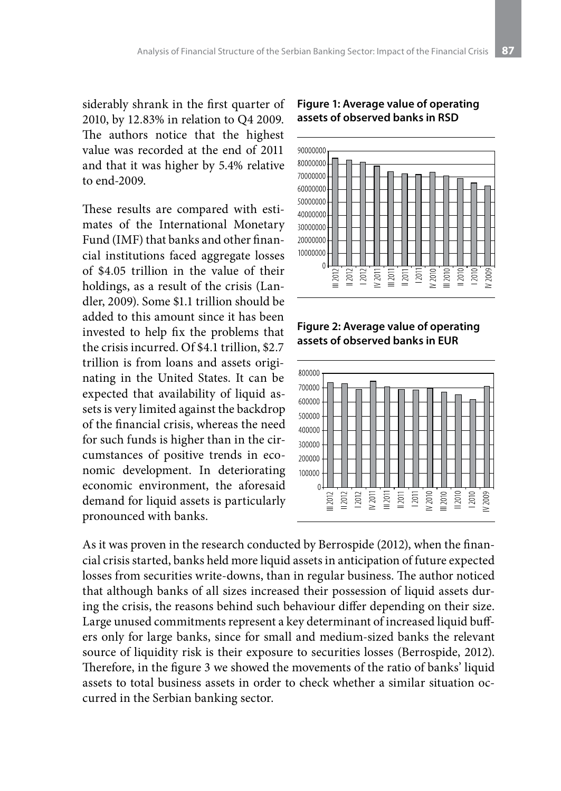siderably shrank in the first quarter of 2010, by 12.83% in relation to Q4 2009. The authors notice that the highest value was recorded at the end of 2011 and that it was higher by 5.4% relative to end-2009.

These results are compared with estimates of the International Monetary Fund (IMF) that banks and other financial institutions faced aggregate losses of \$4.05 trillion in the value of their holdings, as a result of the crisis (Landler, 2009). Some \$1.1 trillion should be added to this amount since it has been invested to help fix the problems that the crisis incurred. Of \$4.1 trillion, \$2.7 trillion is from loans and assets originating in the United States. It can be expected that availability of liquid assets is very limited against the backdrop of the financial crisis, whereas the need for such funds is higher than in the circumstances of positive trends in economic development. In deteriorating economic environment, the aforesaid demand for liquid assets is particularly pronounced with banks.

#### **Figure 1: Average value of operating assets of observed banks in RSD**



#### **Figure 2: Average value of operating assets of observed banks in EUR**



As it was proven in the research conducted by Berrospide (2012), when the financial crisis started, banks held more liquid assets in anticipation of future expected losses from securities write-downs, than in regular business. The author noticed that although banks of all sizes increased their possession of liquid assets during the crisis, the reasons behind such behaviour differ depending on their size. Large unused commitments represent a key determinant of increased liquid buffers only for large banks, since for small and medium-sized banks the relevant source of liquidity risk is their exposure to securities losses (Berrospide, 2012). Therefore, in the figure 3 we showed the movements of the ratio of banks' liquid assets to total business assets in order to check whether a similar situation occurred in the Serbian banking sector.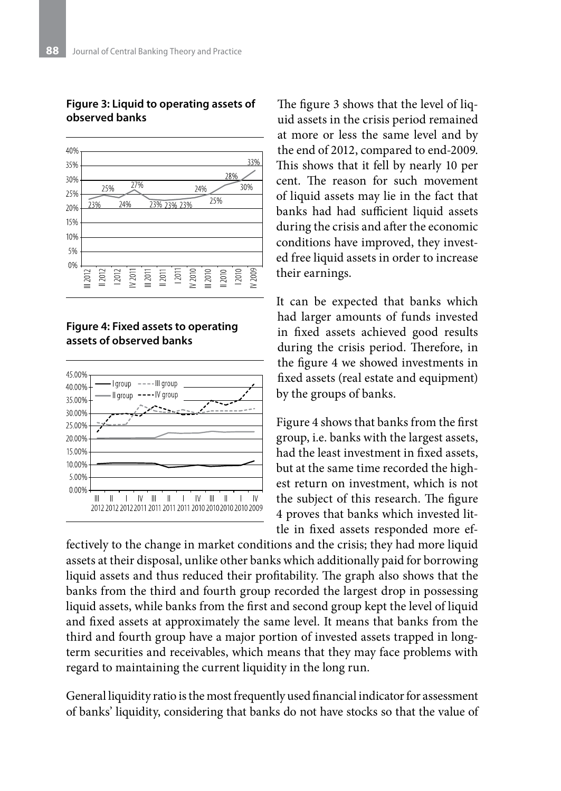

#### **Figure 3: Liquid to operating assets of observed banks**





The figure 3 shows that the level of liquid assets in the crisis period remained at more or less the same level and by the end of 2012, compared to end-2009. This shows that it fell by nearly 10 per cent. The reason for such movement of liquid assets may lie in the fact that banks had had sufficient liquid assets during the crisis and after the economic conditions have improved, they invested free liquid assets in order to increase their earnings.

It can be expected that banks which had larger amounts of funds invested in fixed assets achieved good results during the crisis period. Therefore, in the figure 4 we showed investments in fixed assets (real estate and equipment) by the groups of banks.

Figure 4 shows that banks from the first group, i.e. banks with the largest assets, had the least investment in fixed assets, but at the same time recorded the highest return on investment, which is not the subject of this research. The figure 4 proves that banks which invested little in fixed assets responded more ef-

fectively to the change in market conditions and the crisis; they had more liquid assets at their disposal, unlike other banks which additionally paid for borrowing liquid assets and thus reduced their profitability. The graph also shows that the banks from the third and fourth group recorded the largest drop in possessing liquid assets, while banks from the first and second group kept the level of liquid and fixed assets at approximately the same level. It means that banks from the third and fourth group have a major portion of invested assets trapped in longterm securities and receivables, which means that they may face problems with regard to maintaining the current liquidity in the long run.

General liquidity ratio is the most frequently used financial indicator for assessment of banks' liquidity, considering that banks do not have stocks so that the value of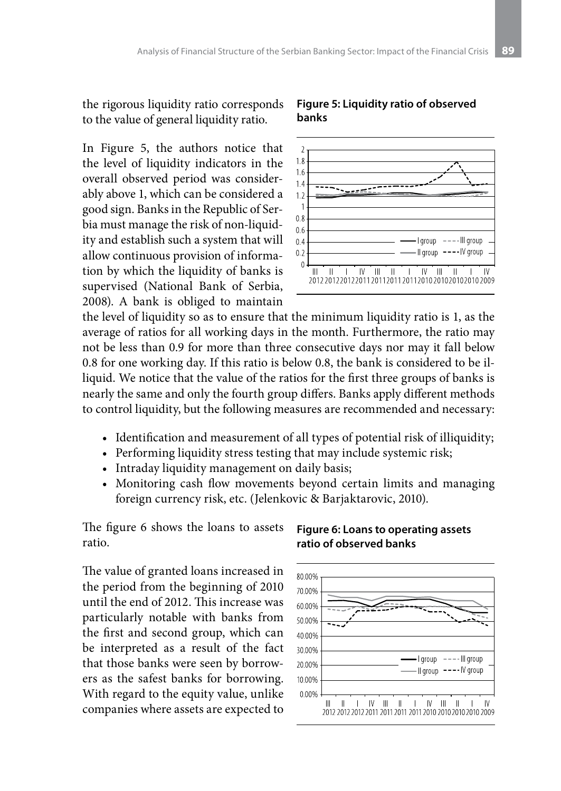the rigorous liquidity ratio corresponds to the value of general liquidity ratio.

In Figure 5, the authors notice that the level of liquidity indicators in the overall observed period was considerably above 1, which can be considered a good sign. Banks in the Republic of Serbia must manage the risk of non-liquidity and establish such a system that will allow continuous provision of information by which the liquidity of banks is supervised (National Bank of Serbia, 2008). A bank is obliged to maintain

#### **Figure 5: Liquidity ratio of observed banks**



the level of liquidity so as to ensure that the minimum liquidity ratio is 1, as the average of ratios for all working days in the month. Furthermore, the ratio may not be less than 0.9 for more than three consecutive days nor may it fall below 0.8 for one working day. If this ratio is below 0.8, the bank is considered to be illiquid. We notice that the value of the ratios for the first three groups of banks is nearly the same and only the fourth group differs. Banks apply different methods to control liquidity, but the following measures are recommended and necessary:

- Identification and measurement of all types of potential risk of illiquidity;
- Performing liquidity stress testing that may include systemic risk;
- Intraday liquidity management on daily basis;
- Monitoring cash flow movements beyond certain limits and managing foreign currency risk, etc. (Jelenkovic & Barjaktarovic, 2010).

The figure 6 shows the loans to assets ratio.

**Figure 6: Loans to operating assets ratio of observed banks**

The value of granted loans increased in the period from the beginning of 2010 until the end of 2012. This increase was particularly notable with banks from the first and second group, which can be interpreted as a result of the fact that those banks were seen by borrowers as the safest banks for borrowing. With regard to the equity value, unlike companies where assets are expected to

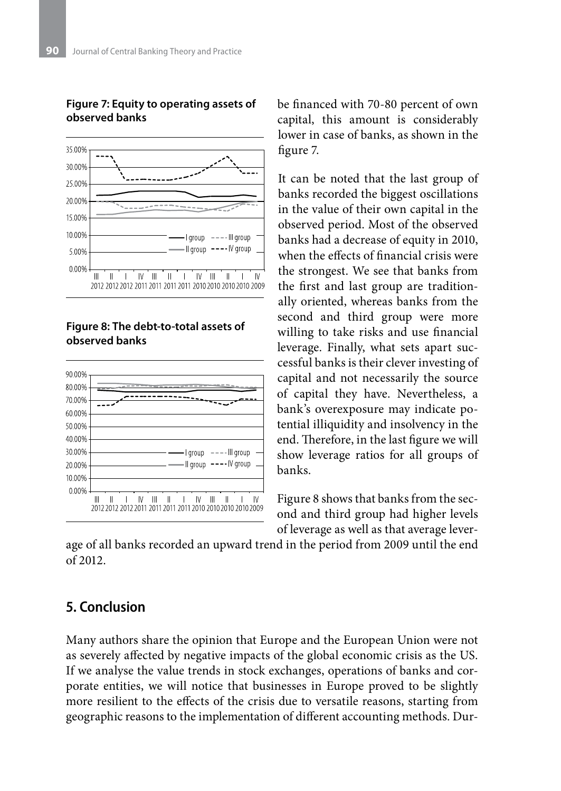

**Figure 7: Equity to operating assets of observed banks**

#### **Figure 8: The debt-to-total assets of observed banks**



be financed with 70-80 percent of own capital, this amount is considerably lower in case of banks, as shown in the figure 7.

It can be noted that the last group of banks recorded the biggest oscillations in the value of their own capital in the observed period. Most of the observed banks had a decrease of equity in 2010, when the effects of financial crisis were the strongest. We see that banks from the first and last group are traditionally oriented, whereas banks from the second and third group were more willing to take risks and use financial leverage. Finally, what sets apart successful banks is their clever investing of capital and not necessarily the source of capital they have. Nevertheless, a bank's overexposure may indicate potential illiquidity and insolvency in the end. Therefore, in the last figure we will show leverage ratios for all groups of banks.

Figure 8 shows that banks from the second and third group had higher levels of leverage as well as that average lever-

age of all banks recorded an upward trend in the period from 2009 until the end of 2012.

### **5. Conclusion**

Many authors share the opinion that Europe and the European Union were not as severely affected by negative impacts of the global economic crisis as the US. If we analyse the value trends in stock exchanges, operations of banks and corporate entities, we will notice that businesses in Europe proved to be slightly more resilient to the effects of the crisis due to versatile reasons, starting from geographic reasons to the implementation of different accounting methods. Dur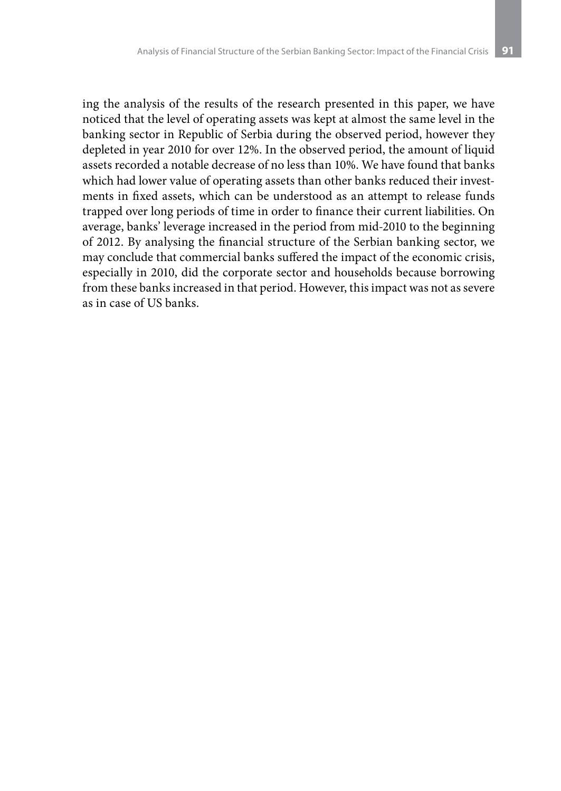ing the analysis of the results of the research presented in this paper, we have noticed that the level of operating assets was kept at almost the same level in the banking sector in Republic of Serbia during the observed period, however they depleted in year 2010 for over 12%. In the observed period, the amount of liquid assets recorded a notable decrease of no less than 10%. We have found that banks which had lower value of operating assets than other banks reduced their investments in fixed assets, which can be understood as an attempt to release funds trapped over long periods of time in order to finance their current liabilities. On average, banks' leverage increased in the period from mid-2010 to the beginning of 2012. By analysing the financial structure of the Serbian banking sector, we may conclude that commercial banks suffered the impact of the economic crisis, especially in 2010, did the corporate sector and households because borrowing from these banks increased in that period. However, this impact was not as severe as in case of US banks.